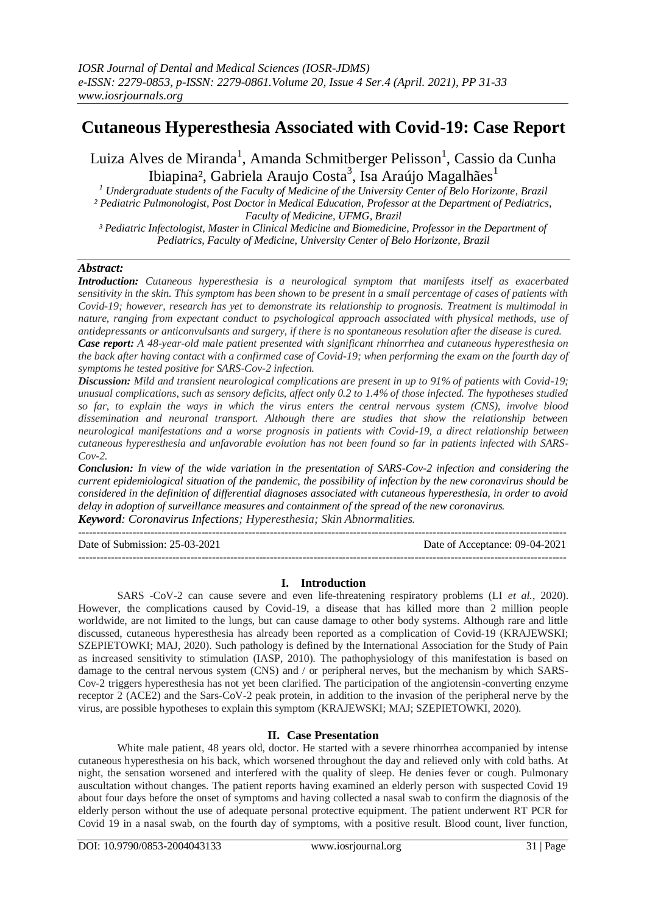# **Cutaneous Hyperesthesia Associated with Covid-19: Case Report**

Luiza Alves de Miranda<sup>1</sup>, Amanda Schmitberger Pelisson<sup>1</sup>, Cassio da Cunha Ibiapina<sup>2</sup>, Gabriela Araujo Costa<sup>3</sup>, Isa Araújo Magalhães<sup>1</sup>

*<sup>1</sup> Undergraduate students of the Faculty of Medicine of the University Center of Belo Horizonte, Brazil ² Pediatric Pulmonologist, Post Doctor in Medical Education, Professor at the Department of Pediatrics, Faculty of Medicine, UFMG, Brazil*

*³ Pediatric Infectologist, Master in Clinical Medicine and Biomedicine, Professor in the Department of Pediatrics, Faculty of Medicine, University Center of Belo Horizonte, Brazil*

# *Abstract:*

*Introduction: Cutaneous hyperesthesia is a neurological symptom that manifests itself as exacerbated sensitivity in the skin. This symptom has been shown to be present in a small percentage of cases of patients with Covid-19; however, research has yet to demonstrate its relationship to prognosis. Treatment is multimodal in nature, ranging from expectant conduct to psychological approach associated with physical methods, use of antidepressants or anticonvulsants and surgery, if there is no spontaneous resolution after the disease is cured. Case report: A 48-year-old male patient presented with significant rhinorrhea and cutaneous hyperesthesia on the back after having contact with a confirmed case of Covid-19; when performing the exam on the fourth day of symptoms he tested positive for SARS-Cov-2 infection.*

*Discussion: Mild and transient neurological complications are present in up to 91% of patients with Covid-19; unusual complications, such as sensory deficits, affect only 0.2 to 1.4% of those infected. The hypotheses studied so far, to explain the ways in which the virus enters the central nervous system (CNS), involve blood dissemination and neuronal transport. Although there are studies that show the relationship between neurological manifestations and a worse prognosis in patients with Covid-19, a direct relationship between cutaneous hyperesthesia and unfavorable evolution has not been found so far in patients infected with SARS-Cov-2.*

*Conclusion: In view of the wide variation in the presentation of SARS-Cov-2 infection and considering the current epidemiological situation of the pandemic, the possibility of infection by the new coronavirus should be considered in the definition of differential diagnoses associated with cutaneous hyperesthesia, in order to avoid delay in adoption of surveillance measures and containment of the spread of the new coronavirus. Keyword: Coronavirus Infections; Hyperesthesia; Skin Abnormalities.*

--------------------------------------------------------------------------------------------------------------------------------------- Date of Submission: 25-03-2021 Date of Acceptance: 09-04-2021 ---------------------------------------------------------------------------------------------------------------------------------------

## **I. Introduction**

SARS -CoV-2 can cause severe and even life-threatening respiratory problems (LI *et al.*, 2020). However, the complications caused by Covid-19, a disease that has killed more than 2 million people worldwide, are not limited to the lungs, but can cause damage to other body systems. Although rare and little discussed, cutaneous hyperesthesia has already been reported as a complication of Covid-19 (KRAJEWSKI; SZEPIETOWKI; MAJ, 2020). Such pathology is defined by the International Association for the Study of Pain as increased sensitivity to stimulation (IASP, 2010). The pathophysiology of this manifestation is based on damage to the central nervous system (CNS) and / or peripheral nerves, but the mechanism by which SARS-Cov-2 triggers hyperesthesia has not yet been clarified. The participation of the angiotensin-converting enzyme receptor 2 (ACE2) and the Sars-CoV-2 peak protein, in addition to the invasion of the peripheral nerve by the virus, are possible hypotheses to explain this symptom (KRAJEWSKI; MAJ; SZEPIETOWKI, 2020).

## **II. Case Presentation**

White male patient, 48 years old, doctor. He started with a severe rhinorrhea accompanied by intense cutaneous hyperesthesia on his back, which worsened throughout the day and relieved only with cold baths. At night, the sensation worsened and interfered with the quality of sleep. He denies fever or cough. Pulmonary auscultation without changes. The patient reports having examined an elderly person with suspected Covid 19 about four days before the onset of symptoms and having collected a nasal swab to confirm the diagnosis of the elderly person without the use of adequate personal protective equipment. The patient underwent RT PCR for Covid 19 in a nasal swab, on the fourth day of symptoms, with a positive result. Blood count, liver function,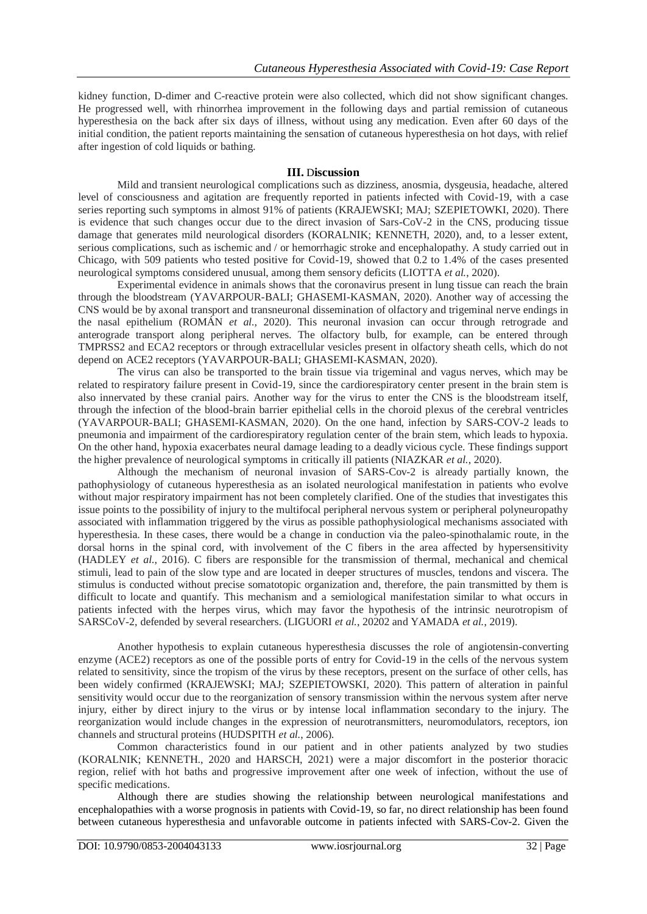kidney function, D-dimer and C-reactive protein were also collected, which did not show significant changes. He progressed well, with rhinorrhea improvement in the following days and partial remission of cutaneous hyperesthesia on the back after six days of illness, without using any medication. Even after 60 days of the initial condition, the patient reports maintaining the sensation of cutaneous hyperesthesia on hot days, with relief after ingestion of cold liquids or bathing.

#### **III.** D**iscussion**

Mild and transient neurological complications such as dizziness, anosmia, dysgeusia, headache, altered level of consciousness and agitation are frequently reported in patients infected with Covid-19, with a case series reporting such symptoms in almost 91% of patients (KRAJEWSKI; MAJ; SZEPIETOWKI, 2020). There is evidence that such changes occur due to the direct invasion of Sars-CoV-2 in the CNS, producing tissue damage that generates mild neurological disorders (KORALNIK; KENNETH, 2020), and, to a lesser extent, serious complications, such as ischemic and / or hemorrhagic stroke and encephalopathy. A study carried out in Chicago, with 509 patients who tested positive for Covid-19, showed that 0.2 to 1.4% of the cases presented neurological symptoms considered unusual, among them sensory deficits (LIOTTA *et al.*, 2020).

Experimental evidence in animals shows that the coronavirus present in lung tissue can reach the brain through the bloodstream (YAVARPOUR-BALI; GHASEMI-KASMAN, 2020). Another way of accessing the CNS would be by axonal transport and transneuronal dissemination of olfactory and trigeminal nerve endings in the nasal epithelium (ROMÁN *et al.*, 2020). This neuronal invasion can occur through retrograde and anterograde transport along peripheral nerves. The olfactory bulb, for example, can be entered through TMPRSS2 and ECA2 receptors or through extracellular vesicles present in olfactory sheath cells, which do not depend on ACE2 receptors (YAVARPOUR-BALI; GHASEMI-KASMAN, 2020).

The virus can also be transported to the brain tissue via trigeminal and vagus nerves, which may be related to respiratory failure present in Covid-19, since the cardiorespiratory center present in the brain stem is also innervated by these cranial pairs. Another way for the virus to enter the CNS is the bloodstream itself, through the infection of the blood-brain barrier epithelial cells in the choroid plexus of the cerebral ventricles (YAVARPOUR-BALI; GHASEMI-KASMAN, 2020). On the one hand, infection by SARS-COV-2 leads to pneumonia and impairment of the cardiorespiratory regulation center of the brain stem, which leads to hypoxia. On the other hand, hypoxia exacerbates neural damage leading to a deadly vicious cycle. These findings support the higher prevalence of neurological symptoms in critically ill patients (NIAZKAR *et al.*, 2020).

Although the mechanism of neuronal invasion of SARS-Cov-2 is already partially known, the pathophysiology of cutaneous hyperesthesia as an isolated neurological manifestation in patients who evolve without major respiratory impairment has not been completely clarified. One of the studies that investigates this issue points to the possibility of injury to the multifocal peripheral nervous system or peripheral polyneuropathy associated with inflammation triggered by the virus as possible pathophysiological mechanisms associated with hyperesthesia. In these cases, there would be a change in conduction via the paleo-spinothalamic route, in the dorsal horns in the spinal cord, with involvement of the C fibers in the area affected by hypersensitivity (HADLEY *et al.*, 2016). C fibers are responsible for the transmission of thermal, mechanical and chemical stimuli, lead to pain of the slow type and are located in deeper structures of muscles, tendons and viscera. The stimulus is conducted without precise somatotopic organization and, therefore, the pain transmitted by them is difficult to locate and quantify. This mechanism and a semiological manifestation similar to what occurs in patients infected with the herpes virus, which may favor the hypothesis of the intrinsic neurotropism of SARSCoV-2, defended by several researchers. (LIGUORI *et al.*, 20202 and YAMADA *et al.*, 2019).

Another hypothesis to explain cutaneous hyperesthesia discusses the role of angiotensin-converting enzyme (ACE2) receptors as one of the possible ports of entry for Covid-19 in the cells of the nervous system related to sensitivity, since the tropism of the virus by these receptors, present on the surface of other cells, has been widely confirmed (KRAJEWSKI; MAJ; SZEPIETOWSKI, 2020). This pattern of alteration in painful sensitivity would occur due to the reorganization of sensory transmission within the nervous system after nerve injury, either by direct injury to the virus or by intense local inflammation secondary to the injury. The reorganization would include changes in the expression of neurotransmitters, neuromodulators, receptors, ion channels and structural proteins (HUDSPITH *et al.*, 2006).

Common characteristics found in our patient and in other patients analyzed by two studies (KORALNIK; KENNETH., 2020 and HARSCH, 2021) were a major discomfort in the posterior thoracic region, relief with hot baths and progressive improvement after one week of infection, without the use of specific medications.

Although there are studies showing the relationship between neurological manifestations and encephalopathies with a worse prognosis in patients with Covid-19, so far, no direct relationship has been found between cutaneous hyperesthesia and unfavorable outcome in patients infected with SARS-Cov-2. Given the